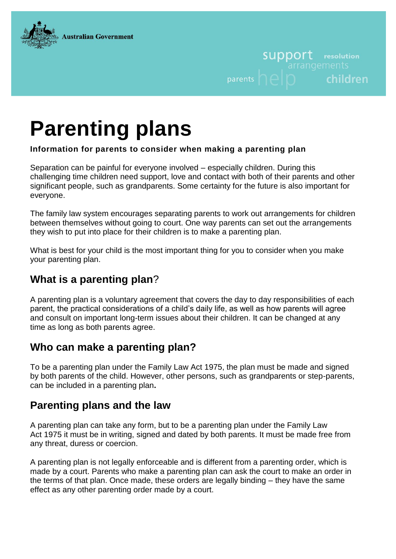

# **SUDDOLL** resolution children parents

# **Parenting plans**

#### **Information for parents to consider when making a parenting plan**

Separation can be painful for everyone involved – especially children. During this challenging time children need support, love and contact with both of their parents and other significant people, such as grandparents. Some certainty for the future is also important for everyone.

The family law system encourages separating parents to work out arrangements for children between themselves without going to court. One way parents can set out the arrangements they wish to put into place for their children is to make a parenting plan.

What is best for your child is the most important thing for you to consider when you make your parenting plan.

## **What is a parenting plan**?

A parenting plan is a voluntary agreement that covers the day to day responsibilities of each parent, the practical considerations of a child's daily life, as well as how parents will agree and consult on important long-term issues about their children. It can be changed at any time as long as both parents agree.

#### **Who can make a parenting plan?**

To be a parenting plan under the Family Law Act 1975, the plan must be made and signed by both parents of the child. However, other persons, such as grandparents or step-parents, can be included in a parenting plan**.**

#### **Parenting plans and the law**

A parenting plan can take any form, but to be a parenting plan under the Family Law Act 1975 it must be in writing, signed and dated by both parents. It must be made free from any threat, duress or coercion.

A parenting plan is not legally enforceable and is different from a parenting order, which is made by a court. Parents who make a parenting plan can ask the court to make an order in the terms of that plan. Once made, these orders are legally binding – they have the same effect as any other parenting order made by a court.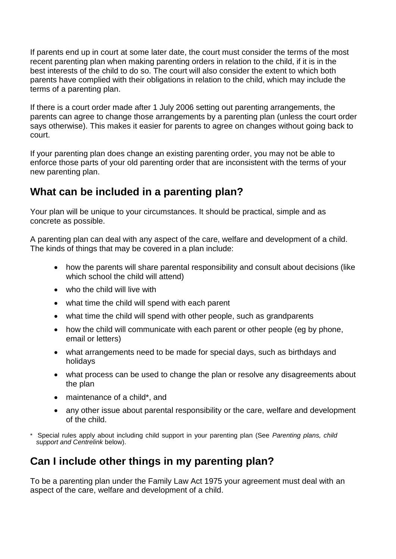If parents end up in court at some later date, the court must consider the terms of the most recent parenting plan when making parenting orders in relation to the child, if it is in the best interests of the child to do so. The court will also consider the extent to which both parents have complied with their obligations in relation to the child, which may include the terms of a parenting plan.

If there is a court order made after 1 July 2006 setting out parenting arrangements, the parents can agree to change those arrangements by a parenting plan (unless the court order says otherwise). This makes it easier for parents to agree on changes without going back to court.

If your parenting plan does change an existing parenting order, you may not be able to enforce those parts of your old parenting order that are inconsistent with the terms of your new parenting plan.

#### **What can be included in a parenting plan?**

Your plan will be unique to your circumstances. It should be practical, simple and as concrete as possible.

A parenting plan can deal with any aspect of the care, welfare and development of a child. The kinds of things that may be covered in a plan include:

- how the parents will share parental responsibility and consult about decisions (like which school the child will attend)
- who the child will live with
- what time the child will spend with each parent
- what time the child will spend with other people, such as grandparents
- how the child will communicate with each parent or other people (eg by phone, email or letters)
- what arrangements need to be made for special days, such as birthdays and holidays
- what process can be used to change the plan or resolve any disagreements about the plan
- maintenance of a child\*, and
- any other issue about parental responsibility or the care, welfare and development of the child.
- \* Special rules apply about including child support in your parenting plan (See *Parenting plans, child support and Centrelink* below).

# **Can I include other things in my parenting plan?**

To be a parenting plan under the Family Law Act 1975 your agreement must deal with an aspect of the care, welfare and development of a child.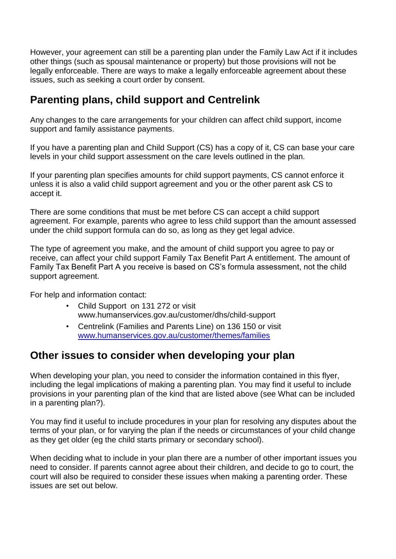However, your agreement can still be a parenting plan under the Family Law Act if it includes other things (such as spousal maintenance or property) but those provisions will not be legally enforceable. There are ways to make a legally enforceable agreement about these issues, such as seeking a court order by consent.

#### **Parenting plans, child support and Centrelink**

Any changes to the care arrangements for your children can affect child support, income support and family assistance payments.

If you have a parenting plan and Child Support (CS) has a copy of it, CS can base your care levels in your child support assessment on the care levels outlined in the plan.

If your parenting plan specifies amounts for child support payments, CS cannot enforce it unless it is also a valid child support agreement and you or the other parent ask CS to accept it.

There are some conditions that must be met before CS can accept a child support agreement. For example, parents who agree to less child support than the amount assessed under the child support formula can do so, as long as they get legal advice.

The type of agreement you make, and the amount of child support you agree to pay or receive, can affect your child support Family Tax Benefit Part A entitlement. The amount of Family Tax Benefit Part A you receive is based on CS's formula assessment, not the child support agreement.

For help and information contact:

- Child Support [on 131 272 or visit](http://www.csa.gov.au/)  [www.humanservices.gov.au/customer/dhs/child-support](http://www.csa.gov.au/)
- Centrelink (Families and Parents Line) on 136 150 or visit [www.humanservices.gov.au/customer/themes/families](http://www.humanservices.gov.au/customer/themes/families)

#### **Other issues to consider when developing your plan**

When developing your plan, you need to consider the information contained in this flyer, including the legal implications of making a parenting plan. You may find it useful to include provisions in your parenting plan of the kind that are listed above (see What can be included in a parenting plan?).

You may find it useful to include procedures in your plan for resolving any disputes about the terms of your plan, or for varying the plan if the needs or circumstances of your child change as they get older (eg the child starts primary or secondary school).

When deciding what to include in your plan there are a number of other important issues you need to consider. If parents cannot agree about their children, and decide to go to court, the court will also be required to consider these issues when making a parenting order. These issues are set out below.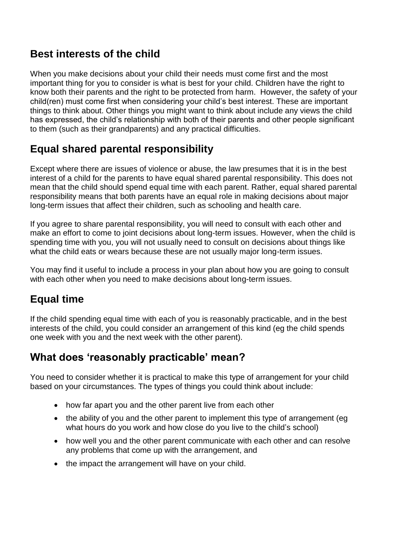#### **Best interests of the child**

When you make decisions about your child their needs must come first and the most important thing for you to consider is what is best for your child. Children have the right to know both their parents and the right to be protected from harm. However, the safety of your child(ren) must come first when considering your child's best interest. These are important things to think about. Other things you might want to think about include any views the child has expressed, the child's relationship with both of their parents and other people significant to them (such as their grandparents) and any practical difficulties.

#### **Equal shared parental responsibility**

Except where there are issues of violence or abuse, the law presumes that it is in the best interest of a child for the parents to have equal shared parental responsibility. This does not mean that the child should spend equal time with each parent. Rather, equal shared parental responsibility means that both parents have an equal role in making decisions about major long-term issues that affect their children, such as schooling and health care.

If you agree to share parental responsibility, you will need to consult with each other and make an effort to come to joint decisions about long-term issues. However, when the child is spending time with you, you will not usually need to consult on decisions about things like what the child eats or wears because these are not usually major long-term issues.

You may find it useful to include a process in your plan about how you are going to consult with each other when you need to make decisions about long-term issues.

# **Equal time**

If the child spending equal time with each of you is reasonably practicable, and in the best interests of the child, you could consider an arrangement of this kind (eg the child spends one week with you and the next week with the other parent).

#### **What does 'reasonably practicable' mean?**

You need to consider whether it is practical to make this type of arrangement for your child based on your circumstances. The types of things you could think about include:

- how far apart you and the other parent live from each other
- the ability of you and the other parent to implement this type of arrangement (eg what hours do you work and how close do you live to the child's school)
- how well you and the other parent communicate with each other and can resolve any problems that come up with the arrangement, and
- the impact the arrangement will have on your child.